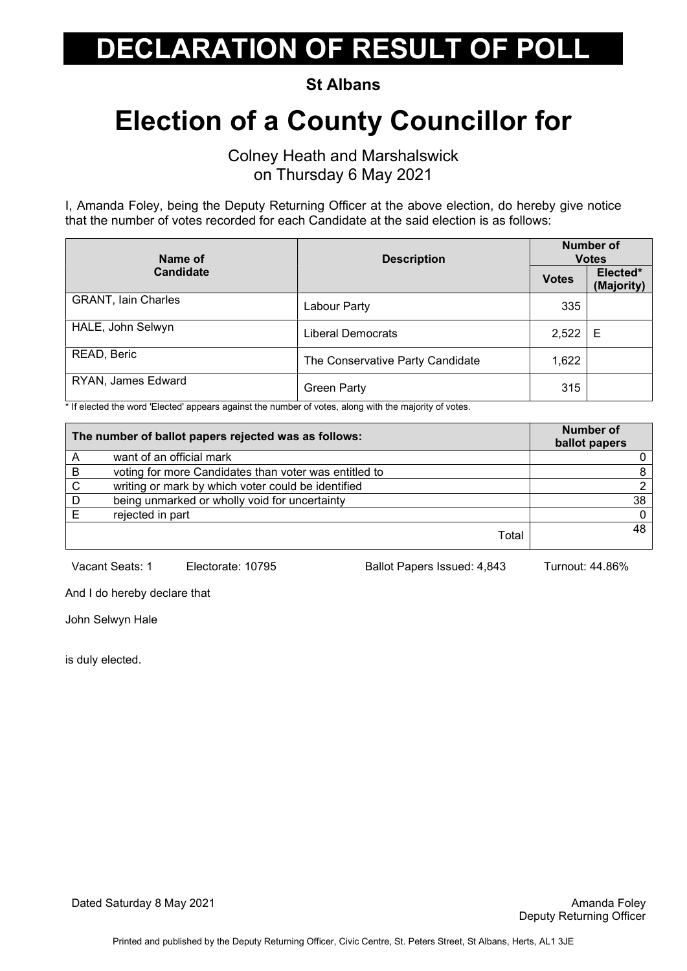St Albans

#### Election of a County Councillor for

Colney Heath and Marshalswick on Thursday 6 May 2021

I, Amanda Foley, being the Deputy Returning Officer at the above election, do hereby give notice that the number of votes recorded for each Candidate at the said election is as follows:

| Name of                    | <b>Description</b>               | <b>Number of</b><br><b>Votes</b> |                        |
|----------------------------|----------------------------------|----------------------------------|------------------------|
| <b>Candidate</b>           |                                  | <b>Votes</b>                     | Elected*<br>(Majority) |
| <b>GRANT, lain Charles</b> | Labour Party                     | 335                              |                        |
| HALE, John Selwyn          | <b>Liberal Democrats</b>         | 2,522                            | Е                      |
| READ, Beric                | The Conservative Party Candidate | 1,622                            |                        |
| RYAN, James Edward         | <b>Green Party</b>               | 315                              |                        |

\* If elected the word 'Elected' appears against the number of votes, along with the majority of votes.

|   | The number of ballot papers rejected was as follows:  | <b>Number of</b><br>ballot papers |
|---|-------------------------------------------------------|-----------------------------------|
|   | want of an official mark                              |                                   |
| B | voting for more Candidates than voter was entitled to |                                   |
| C | writing or mark by which voter could be identified    |                                   |
| D | being unmarked or wholly void for uncertainty         | 38                                |
| Е | rejected in part                                      |                                   |
|   | Total                                                 | 48                                |

Vacant Seats: 1 Electorate: 10795 Ballot Papers Issued: 4,843 Turnout: 44.86%

And I do hereby declare that

John Selwyn Hale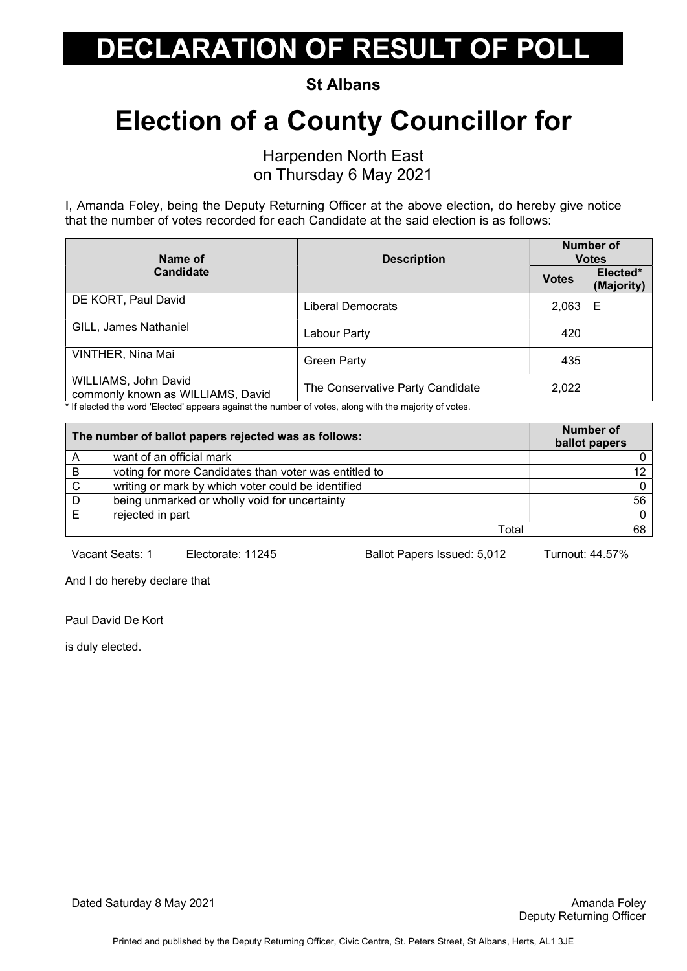St Albans

### Election of a County Councillor for

Harpenden North East on Thursday 6 May 2021

I, Amanda Foley, being the Deputy Returning Officer at the above election, do hereby give notice that the number of votes recorded for each Candidate at the said election is as follows:

| Name of                                                                                                                                                             | <b>Description</b>               |              | <b>Number of</b><br><b>Votes</b> |
|---------------------------------------------------------------------------------------------------------------------------------------------------------------------|----------------------------------|--------------|----------------------------------|
| <b>Candidate</b>                                                                                                                                                    |                                  | <b>Votes</b> | Elected*<br>(Majority)           |
| DE KORT, Paul David                                                                                                                                                 | Liberal Democrats                | 2,063        | Е                                |
| GILL, James Nathaniel                                                                                                                                               | Labour Party                     | 420          |                                  |
| VINTHER, Nina Mai                                                                                                                                                   | <b>Green Party</b>               | 435          |                                  |
| WILLIAMS, John David<br>commonly known as WILLIAMS, David<br>t If alacted the werd 'Elected' concern conjuct the number of veter, along with the mojerity of veter, | The Conservative Party Candidate | 2,022        |                                  |

If elected the word 'Elected' appears against the number of votes, along with the majority of votes.

| The number of ballot papers rejected was as follows: |                                                       | <b>Number of</b><br>ballot papers |
|------------------------------------------------------|-------------------------------------------------------|-----------------------------------|
|                                                      | want of an official mark                              |                                   |
| B                                                    | voting for more Candidates than voter was entitled to | 12                                |
| C                                                    | writing or mark by which voter could be identified    |                                   |
|                                                      | being unmarked or wholly void for uncertainty         | 56                                |
|                                                      | rejected in part                                      |                                   |
|                                                      | Total                                                 | 68                                |

Vacant Seats: 1 Electorate: 11245 Ballot Papers Issued: 5,012 Turnout: 44.57%

And I do hereby declare that

Paul David De Kort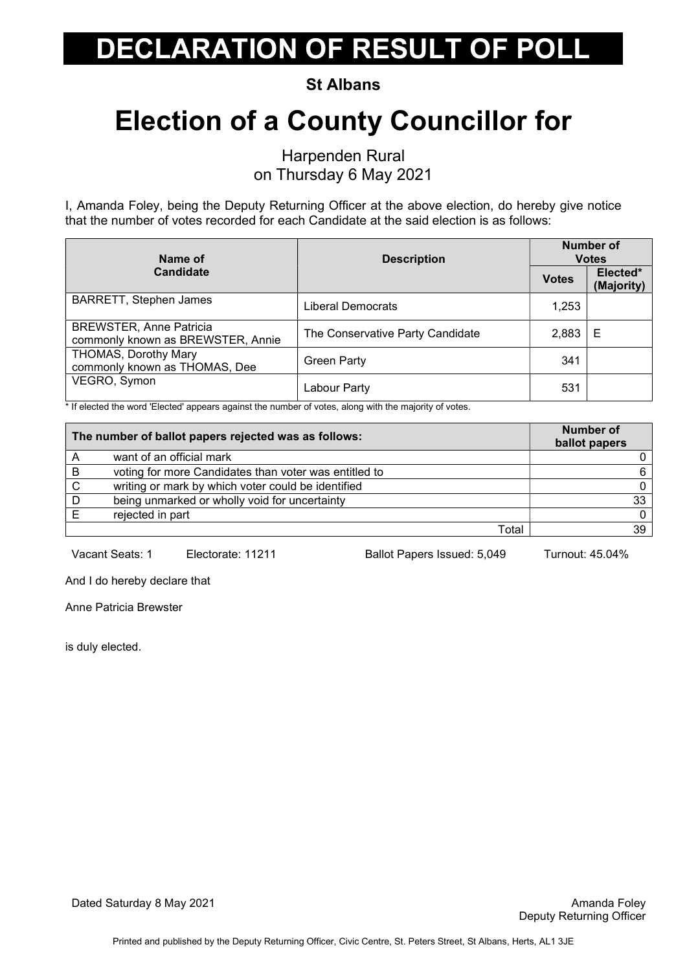St Albans

### Election of a County Councillor for

Harpenden Rural on Thursday 6 May 2021

I, Amanda Foley, being the Deputy Returning Officer at the above election, do hereby give notice that the number of votes recorded for each Candidate at the said election is as follows:

| Name of                                                             | <b>Description</b>               |              | Number of<br><b>Votes</b> |
|---------------------------------------------------------------------|----------------------------------|--------------|---------------------------|
| <b>Candidate</b>                                                    |                                  | <b>Votes</b> | Elected*<br>(Majority)    |
| <b>BARRETT, Stephen James</b>                                       | Liberal Democrats                | 1,253        |                           |
| <b>BREWSTER, Anne Patricia</b><br>commonly known as BREWSTER, Annie | The Conservative Party Candidate | 2,883        | Е                         |
| <b>THOMAS, Dorothy Mary</b><br>commonly known as THOMAS, Dee        | <b>Green Party</b>               | 341          |                           |
| VEGRO, Symon                                                        | Labour Party                     | 531          |                           |

\* If elected the word 'Elected' appears against the number of votes, along with the majority of votes.

| The number of ballot papers rejected was as follows: |                                                       | <b>Number of</b><br>ballot papers |
|------------------------------------------------------|-------------------------------------------------------|-----------------------------------|
|                                                      | want of an official mark                              |                                   |
| B                                                    | voting for more Candidates than voter was entitled to | 6.                                |
| C                                                    | writing or mark by which voter could be identified    |                                   |
| D                                                    | being unmarked or wholly void for uncertainty         | 33                                |
|                                                      | rejected in part                                      |                                   |
|                                                      | Total                                                 | 39                                |

Vacant Seats: 1 Electorate: 11211 Ballot Papers Issued: 5,049 Turnout: 45.04%

And I do hereby declare that

Anne Patricia Brewster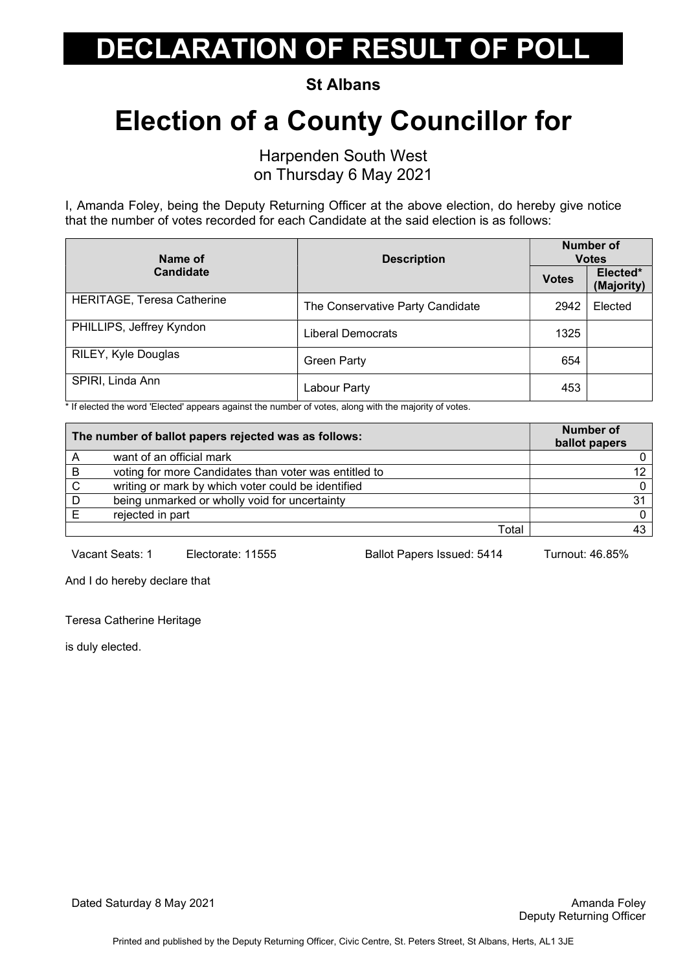St Albans

### Election of a County Councillor for

Harpenden South West on Thursday 6 May 2021

I, Amanda Foley, being the Deputy Returning Officer at the above election, do hereby give notice that the number of votes recorded for each Candidate at the said election is as follows:

| Name of                    | <b>Description</b>               |              | Number of<br><b>Votes</b> |
|----------------------------|----------------------------------|--------------|---------------------------|
| <b>Candidate</b>           |                                  | <b>Votes</b> | Elected*<br>(Majority)    |
| HERITAGE, Teresa Catherine | The Conservative Party Candidate | 2942         | Elected                   |
| PHILLIPS, Jeffrey Kyndon   | Liberal Democrats                | 1325         |                           |
| RILEY, Kyle Douglas        | <b>Green Party</b>               | 654          |                           |
| SPIRI, Linda Ann           | Labour Party                     | 453          |                           |

\* If elected the word 'Elected' appears against the number of votes, along with the majority of votes.

| The number of ballot papers rejected was as follows: |                                                       | <b>Number of</b><br>ballot papers |
|------------------------------------------------------|-------------------------------------------------------|-----------------------------------|
|                                                      | want of an official mark                              |                                   |
| B                                                    | voting for more Candidates than voter was entitled to | 12                                |
| C                                                    | writing or mark by which voter could be identified    |                                   |
| D                                                    | being unmarked or wholly void for uncertainty         | 31                                |
|                                                      | rejected in part                                      |                                   |
|                                                      | Total                                                 | 43                                |

Vacant Seats: 1 Electorate: 11555 Ballot Papers Issued: 5414 Turnout: 46.85%

And I do hereby declare that

Teresa Catherine Heritage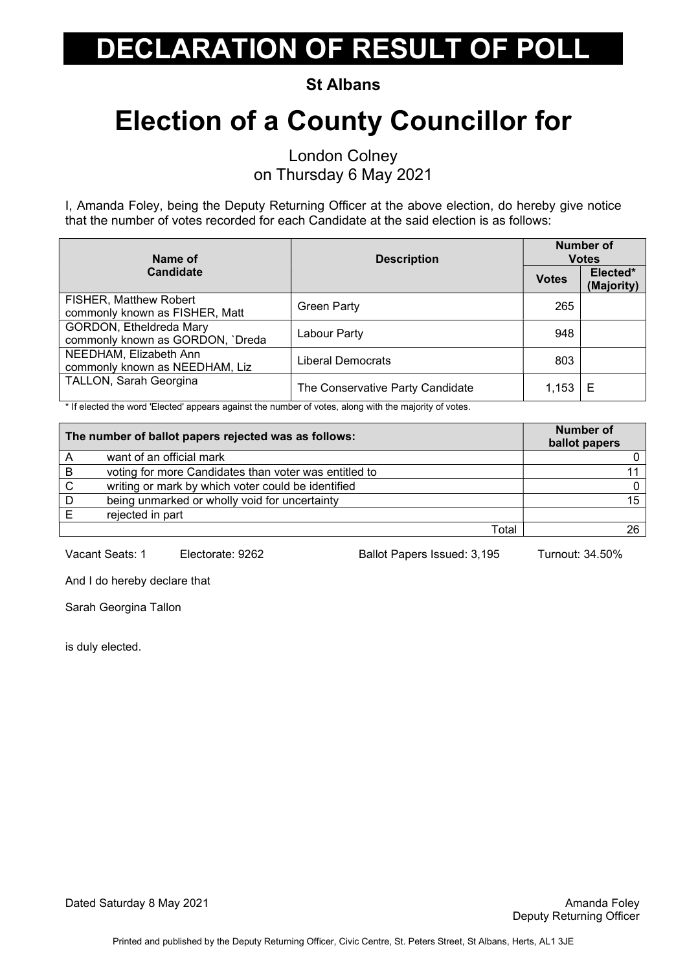St Albans

### Election of a County Councillor for

London Colney on Thursday 6 May 2021

I, Amanda Foley, being the Deputy Returning Officer at the above election, do hereby give notice that the number of votes recorded for each Candidate at the said election is as follows:

| Name of                                                         | <b>Description</b>               |              | Number of<br><b>Votes</b> |
|-----------------------------------------------------------------|----------------------------------|--------------|---------------------------|
| <b>Candidate</b>                                                |                                  | <b>Votes</b> | Elected*<br>(Majority)    |
| <b>FISHER, Matthew Robert</b><br>commonly known as FISHER, Matt | <b>Green Party</b>               | 265          |                           |
| GORDON, Etheldreda Mary<br>commonly known as GORDON, `Dreda     | Labour Party                     | 948          |                           |
| NEEDHAM, Elizabeth Ann<br>commonly known as NEEDHAM, Liz        | Liberal Democrats                | 803          |                           |
| TALLON, Sarah Georgina                                          | The Conservative Party Candidate | 1,153        | Е                         |

\* If elected the word 'Elected' appears against the number of votes, along with the majority of votes.

| The number of ballot papers rejected was as follows: |                                                       | <b>Number of</b><br>ballot papers |
|------------------------------------------------------|-------------------------------------------------------|-----------------------------------|
|                                                      | want of an official mark                              |                                   |
| B                                                    | voting for more Candidates than voter was entitled to |                                   |
| C                                                    | writing or mark by which voter could be identified    |                                   |
| D                                                    | being unmarked or wholly void for uncertainty         | 15                                |
|                                                      | rejected in part                                      |                                   |
|                                                      | Total                                                 | 26                                |

Vacant Seats: 1 Electorate: 9262 Ballot Papers Issued: 3,195 Turnout: 34.50%

And I do hereby declare that

Sarah Georgina Tallon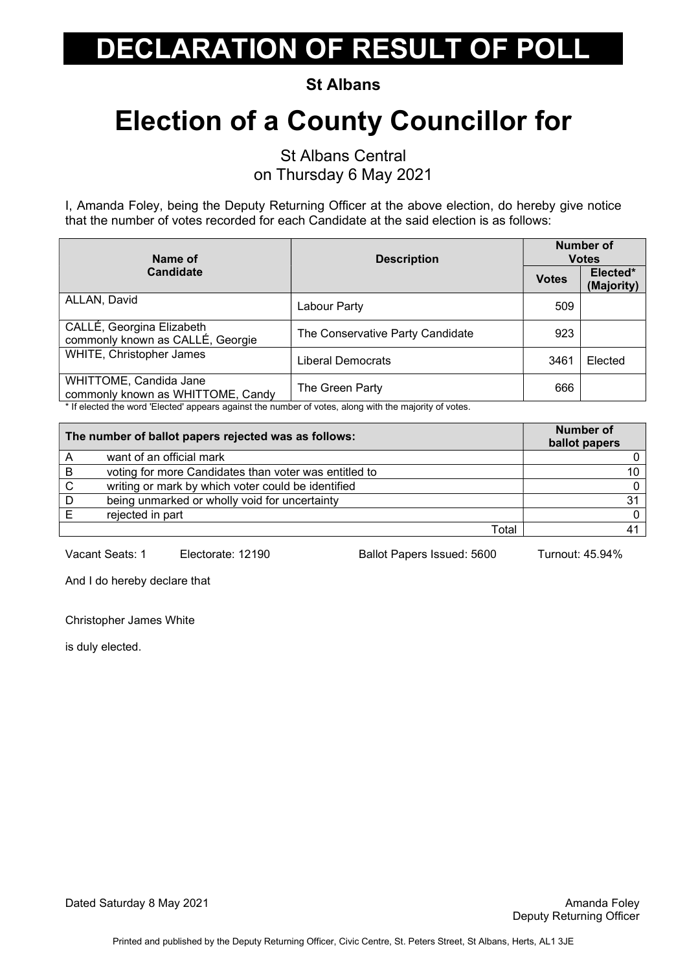St Albans

### Election of a County Councillor for

St Albans Central on Thursday 6 May 2021

I, Amanda Foley, being the Deputy Returning Officer at the above election, do hereby give notice that the number of votes recorded for each Candidate at the said election is as follows:

| Name of                                                       | <b>Description</b>               | <b>Number of</b><br><b>Votes</b> |                        |
|---------------------------------------------------------------|----------------------------------|----------------------------------|------------------------|
| <b>Candidate</b>                                              |                                  | <b>Votes</b>                     | Elected*<br>(Majority) |
| ALLAN, David                                                  | Labour Party                     | 509                              |                        |
| CALLÉ, Georgina Elizabeth<br>commonly known as CALLÉ, Georgie | The Conservative Party Candidate | 923                              |                        |
| <b>WHITE, Christopher James</b>                               | Liberal Democrats                | 3461                             | Elected                |
| WHITTOME, Candida Jane<br>commonly known as WHITTOME, Candy   | The Green Party                  | 666                              |                        |

If elected the word 'Elected' appears against the number of votes, along with the majority of votes.

| The number of ballot papers rejected was as follows: |                                                       | Number of<br>ballot papers |
|------------------------------------------------------|-------------------------------------------------------|----------------------------|
|                                                      | want of an official mark                              |                            |
| B                                                    | voting for more Candidates than voter was entitled to | 10                         |
| C                                                    | writing or mark by which voter could be identified    |                            |
| D                                                    | being unmarked or wholly void for uncertainty         | 3'                         |
|                                                      | rejected in part                                      |                            |
|                                                      | Total                                                 |                            |

Vacant Seats: 1 Electorate: 12190 Ballot Papers Issued: 5600 Turnout: 45.94%

And I do hereby declare that

Christopher James White

is duly elected.

Dated Saturday 8 May 2021 **Amanda Foley Amanda Foley** Amanda Foley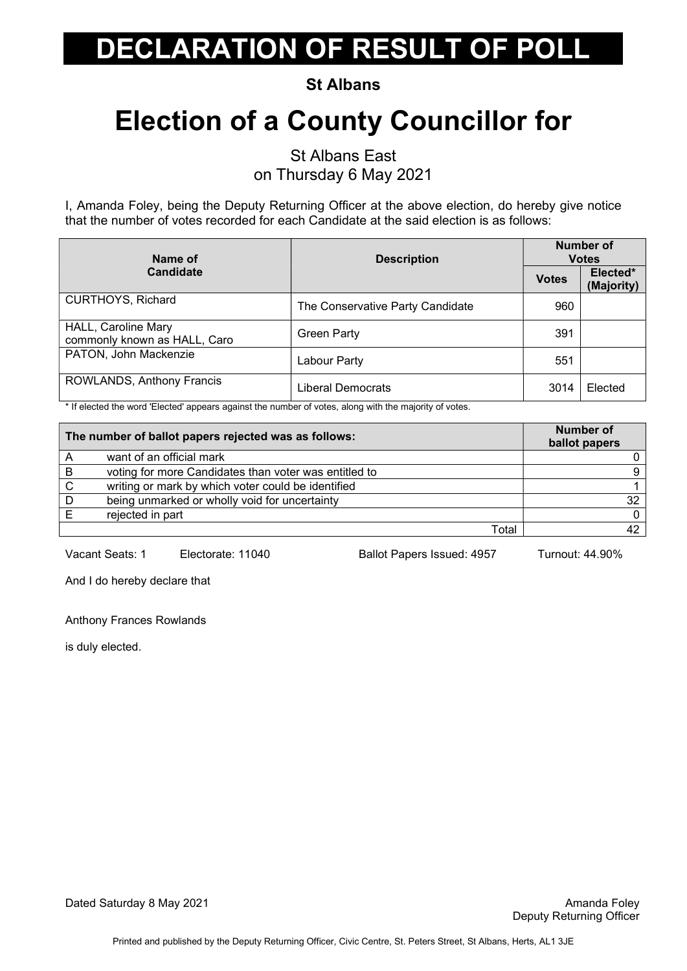St Albans

### Election of a County Councillor for

St Albans East

on Thursday 6 May 2021

I, Amanda Foley, being the Deputy Returning Officer at the above election, do hereby give notice that the number of votes recorded for each Candidate at the said election is as follows:

| Name of<br><b>Candidate</b>                                | <b>Description</b>               | Number of<br><b>Votes</b> |                        |
|------------------------------------------------------------|----------------------------------|---------------------------|------------------------|
|                                                            |                                  | <b>Votes</b>              | Elected*<br>(Majority) |
| <b>CURTHOYS, Richard</b>                                   | The Conservative Party Candidate | 960                       |                        |
| <b>HALL, Caroline Mary</b><br>commonly known as HALL, Caro | <b>Green Party</b>               | 391                       |                        |
| PATON, John Mackenzie                                      | Labour Party                     | 551                       |                        |
| ROWLANDS, Anthony Francis                                  | Liberal Democrats                | 3014                      | Elected                |

\* If elected the word 'Elected' appears against the number of votes, along with the majority of votes.

| The number of ballot papers rejected was as follows: |                                                       | Number of<br>ballot papers |
|------------------------------------------------------|-------------------------------------------------------|----------------------------|
|                                                      | want of an official mark                              |                            |
| B                                                    | voting for more Candidates than voter was entitled to |                            |
| C                                                    | writing or mark by which voter could be identified    |                            |
| D                                                    | being unmarked or wholly void for uncertainty         | 32                         |
|                                                      | rejected in part                                      |                            |
|                                                      | Total                                                 |                            |

Vacant Seats: 1 Electorate: 11040 Ballot Papers Issued: 4957 Turnout: 44.90%

And I do hereby declare that

Anthony Frances Rowlands

is duly elected.

Dated Saturday 8 May 2021 **Amanda Foley Amanda Foley** Amanda Foley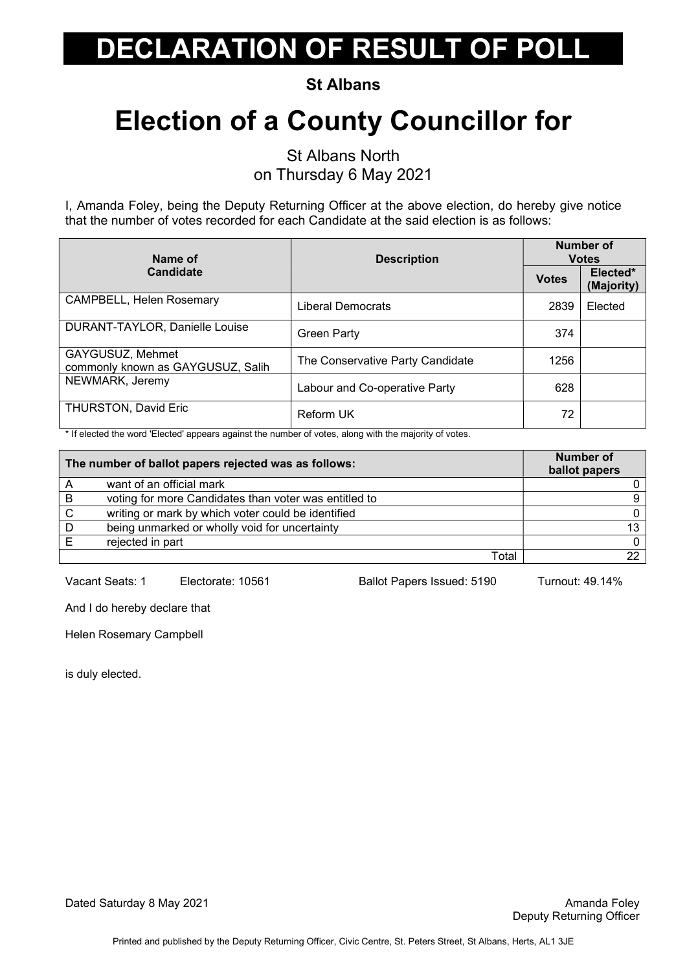St Albans

## Election of a County Councillor for

St Albans North on Thursday 6 May 2021

I, Amanda Foley, being the Deputy Returning Officer at the above election, do hereby give notice that the number of votes recorded for each Candidate at the said election is as follows:

| Name of<br><b>Description</b><br><b>Candidate</b>     | Number of<br><b>Votes</b>        |              |                        |
|-------------------------------------------------------|----------------------------------|--------------|------------------------|
|                                                       |                                  | <b>Votes</b> | Elected*<br>(Majority) |
| CAMPBELL, Helen Rosemary                              | Liberal Democrats                | 2839         | Elected                |
| DURANT-TAYLOR, Danielle Louise                        | <b>Green Party</b>               | 374          |                        |
| GAYGUSUZ, Mehmet<br>commonly known as GAYGUSUZ, Salih | The Conservative Party Candidate | 1256         |                        |
| NEWMARK, Jeremy                                       | Labour and Co-operative Party    | 628          |                        |
| <b>THURSTON, David Eric</b>                           | <b>Reform UK</b>                 | 72           |                        |

\* If elected the word 'Elected' appears against the number of votes, along with the majority of votes.

| The number of ballot papers rejected was as follows: |                                                       | Number of<br>ballot papers |
|------------------------------------------------------|-------------------------------------------------------|----------------------------|
|                                                      | want of an official mark                              |                            |
| B                                                    | voting for more Candidates than voter was entitled to |                            |
| C                                                    | writing or mark by which voter could be identified    |                            |
|                                                      | being unmarked or wholly void for uncertainty         | 13.                        |
|                                                      | rejected in part                                      |                            |
|                                                      | Total                                                 |                            |

Vacant Seats: 1 Electorate: 10561 Ballot Papers Issued: 5190 Turnout: 49.14%

And I do hereby declare that

Helen Rosemary Campbell

is duly elected.

Dated Saturday 8 May 2021 **Amanda Foley Contract Contract Contract Contract Contract Contract Contract Contract Contract Contract Contract Contract Contract Contract Contract Contract Contract Contract Contract Contract**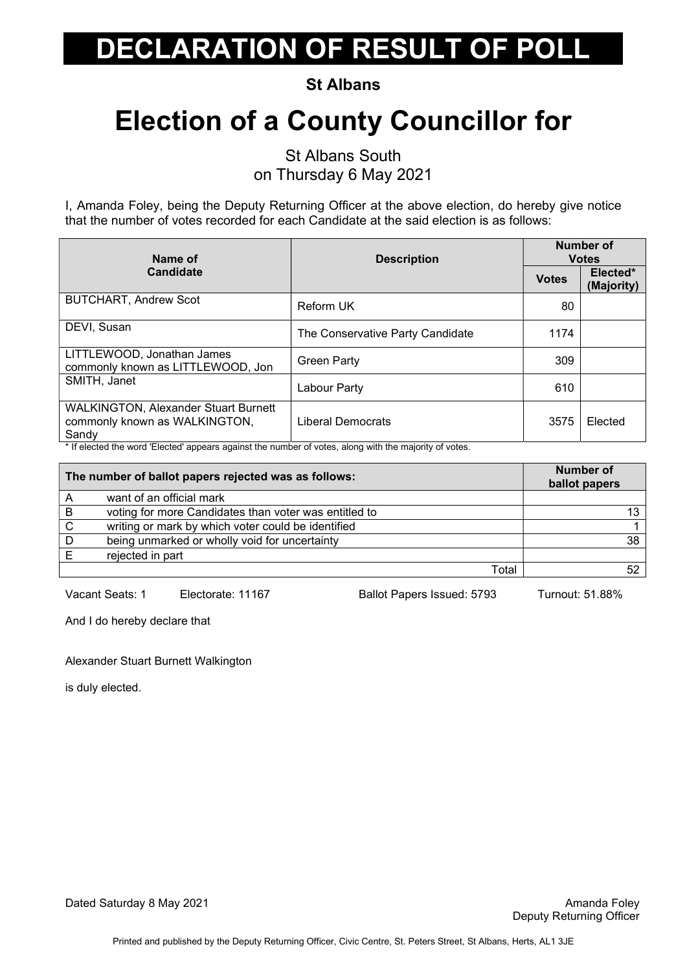St Albans

## Election of a County Councillor for

St Albans South on Thursday 6 May 2021

I, Amanda Foley, being the Deputy Returning Officer at the above election, do hereby give notice that the number of votes recorded for each Candidate at the said election is as follows:

| Name of                                                                               | <b>Description</b><br><b>Candidate</b> | Number of<br><b>Votes</b> |                        |
|---------------------------------------------------------------------------------------|----------------------------------------|---------------------------|------------------------|
|                                                                                       |                                        | <b>Votes</b>              | Elected*<br>(Majority) |
| <b>BUTCHART, Andrew Scot</b>                                                          | Reform UK                              | 80                        |                        |
| DEVI, Susan                                                                           | The Conservative Party Candidate       | 1174                      |                        |
| LITTLEWOOD, Jonathan James<br>commonly known as LITTLEWOOD, Jon                       | <b>Green Party</b>                     | 309                       |                        |
| SMITH, Janet                                                                          | Labour Party                           | 610                       |                        |
| <b>WALKINGTON, Alexander Stuart Burnett</b><br>commonly known as WALKINGTON,<br>Sandy | Liberal Democrats                      | 3575                      | Elected                |

\* If elected the word 'Elected' appears against the number of votes, along with the majority of votes.

| The number of ballot papers rejected was as follows: |                                                       | <b>Number of</b><br>ballot papers |
|------------------------------------------------------|-------------------------------------------------------|-----------------------------------|
| A                                                    | want of an official mark                              |                                   |
| B                                                    | voting for more Candidates than voter was entitled to | 12.                               |
| C                                                    | writing or mark by which voter could be identified    |                                   |
| D                                                    | being unmarked or wholly void for uncertainty         | 38                                |
|                                                      | rejected in part                                      |                                   |
|                                                      | Total                                                 |                                   |

Vacant Seats: 1 Electorate: 11167 Ballot Papers Issued: 5793 Turnout: 51.88%

And I do hereby declare that

#### Alexander Stuart Burnett Walkington

is duly elected.

Dated Saturday 8 May 2021 **Amanda Foley Amanda Foley** Amanda Foley